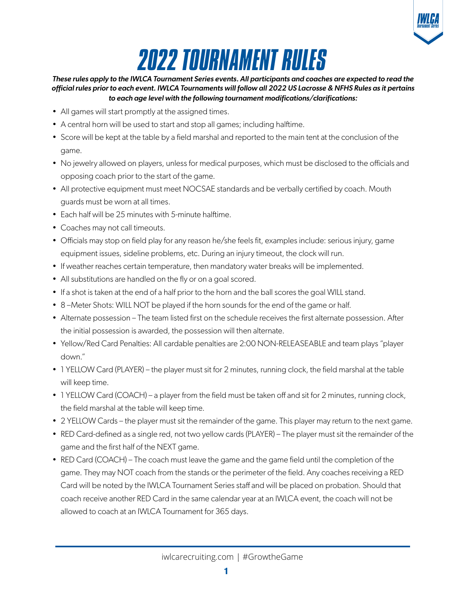

# *2022 TOURNAMENT RULES*

#### *These rules apply to the IWLCA Tournament Series events. All participants and coaches are expected to read the official rules prior to each event. IWLCA Tournaments will follow all 2022 US Lacrosse & NFHS Rules as it pertains to each age level with the following tournament modifications/clarifications:*

- All games will start promptly at the assigned times.
- A central horn will be used to start and stop all games; including halftime.
- Score will be kept at the table by a field marshal and reported to the main tent at the conclusion of the game.
- No jewelry allowed on players, unless for medical purposes, which must be disclosed to the officials and opposing coach prior to the start of the game.
- All protective equipment must meet NOCSAE standards and be verbally certified by coach. Mouth guards must be worn at all times.
- Each half will be 25 minutes with 5-minute halftime.
- Coaches may not call timeouts.
- Officials may stop on field play for any reason he/she feels fit, examples include: serious injury, game equipment issues, sideline problems, etc. During an injury timeout, the clock will run.
- If weather reaches certain temperature, then mandatory water breaks will be implemented.
- All substitutions are handled on the fly or on a goal scored.
- If a shot is taken at the end of a half prior to the horn and the ball scores the goal WILL stand.
- 8 –Meter Shots: WILL NOT be played if the horn sounds for the end of the game or half.
- Alternate possession The team listed first on the schedule receives the first alternate possession. After the initial possession is awarded, the possession will then alternate.
- Yellow/Red Card Penalties: All cardable penalties are 2:00 NON-RELEASEABLE and team plays "player down."
- 1 YELLOW Card (PLAYER) the player must sit for 2 minutes, running clock, the field marshal at the table will keep time.
- 1 YELLOW Card (COACH) a player from the field must be taken off and sit for 2 minutes, running clock, the field marshal at the table will keep time.
- 2 YELLOW Cards the player must sit the remainder of the game. This player may return to the next game.
- RED Card-defined as a single red, not two yellow cards (PLAYER) The player must sit the remainder of the game and the first half of the NEXT game.
- RED Card (COACH) The coach must leave the game and the game field until the completion of the game. They may NOT coach from the stands or the perimeter of the field. Any coaches receiving a RED Card will be noted by the IWLCA Tournament Series staff and will be placed on probation. Should that coach receive another RED Card in the same calendar year at an IWLCA event, the coach will not be allowed to coach at an IWLCA Tournament for 365 days.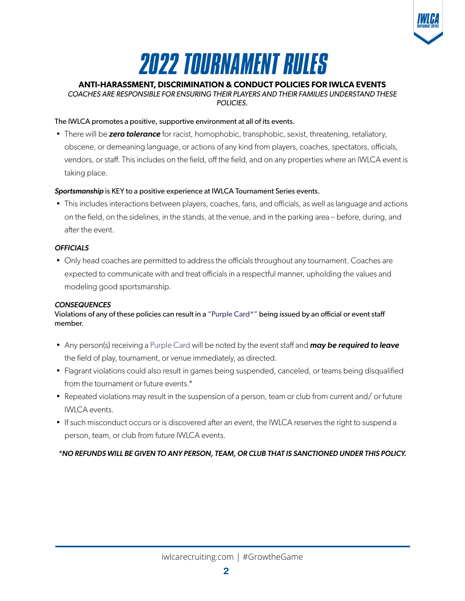

## *2022 TOURNAMENT RULES*

### **ANTI-HARASSMENT, DISCRIMINATION & CONDUCT POLICIES FOR IWLCA EVENTS**

*COACHES ARE RESPONSIBLE FOR ENSURING THEIR PLAYERS AND THEIR FAMILIES UNDERSTAND THESE POLICIES.*

#### The IWLCA promotes a positive, supportive environment at all of its events.

• There will be *zero tolerance* for racist, homophobic, transphobic, sexist, threatening, retaliatory, obscene, or demeaning language, or actions of any kind from players, coaches, spectators, officials, vendors, or staff. This includes on the field, off the field, and on any properties where an IWLCA event is taking place.

#### *Sportsmanship* is KEY to a positive experience at IWLCA Tournament Series events.

• This includes interactions between players, coaches, fans, and officials, as well as language and actions on the field, on the sidelines, in the stands, at the venue, and in the parking area – before, during, and after the event.

#### *OFFICIALS*

• Only head coaches are permitted to address the officials throughout any tournament. Coaches are expected to communicate with and treat officials in a respectful manner, upholding the values and modeling good sportsmanship.

#### *CONSEQUENCES*

Violations of any of these policies can result in a "Purple Card\*" being issued by an official or event staff member.

- Any person(s) receiving a Purple Card will be noted by the event staff and *may be required to leave* the field of play, tournament, or venue immediately, as directed.
- Flagrant violations could also result in games being suspended, canceled, or teams being disqualified from the tournament or future events.\*
- Repeated violations may result in the suspension of a person, team or club from current and/ or future IWLCA events.
- If such misconduct occurs or is discovered after an event, the IWLCA reserves the right to suspend a person, team, or club from future IWLCA events.

*\*NO REFUNDS WILL BE GIVEN TO ANY PERSON, TEAM, OR CLUB THAT IS SANCTIONED UNDER THIS POLICY.*